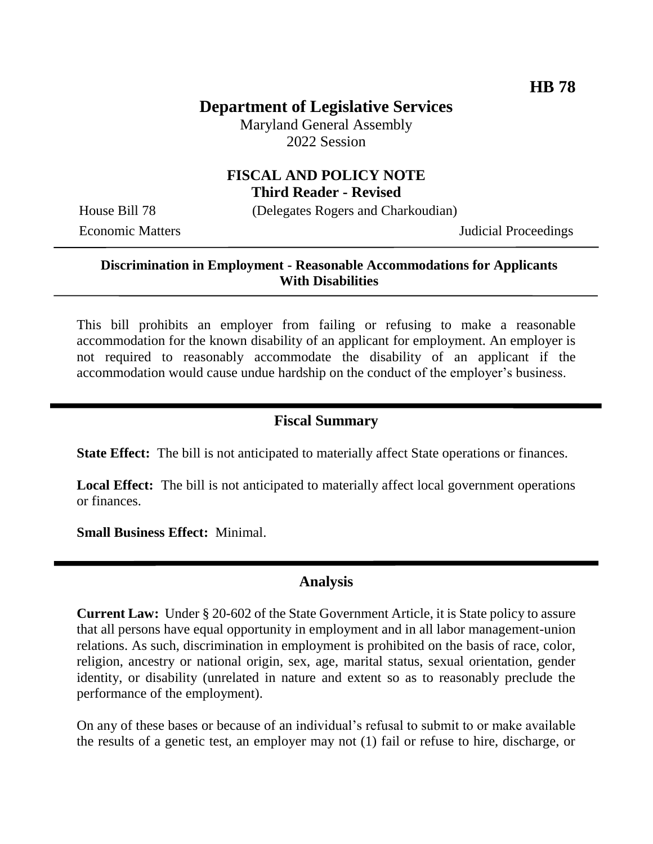# **Department of Legislative Services**

Maryland General Assembly 2022 Session

### **FISCAL AND POLICY NOTE Third Reader - Revised**

House Bill 78 (Delegates Rogers and Charkoudian)

Economic Matters **Internal Proceedings** Judicial Proceedings

#### **Discrimination in Employment - Reasonable Accommodations for Applicants With Disabilities**

This bill prohibits an employer from failing or refusing to make a reasonable accommodation for the known disability of an applicant for employment. An employer is not required to reasonably accommodate the disability of an applicant if the accommodation would cause undue hardship on the conduct of the employer's business.

#### **Fiscal Summary**

**State Effect:** The bill is not anticipated to materially affect State operations or finances.

**Local Effect:** The bill is not anticipated to materially affect local government operations or finances.

**Small Business Effect:** Minimal.

### **Analysis**

**Current Law:** Under § 20-602 of the State Government Article, it is State policy to assure that all persons have equal opportunity in employment and in all labor management-union relations. As such, discrimination in employment is prohibited on the basis of race, color, religion, ancestry or national origin, sex, age, marital status, sexual orientation, gender identity, or disability (unrelated in nature and extent so as to reasonably preclude the performance of the employment).

On any of these bases or because of an individual's refusal to submit to or make available the results of a genetic test, an employer may not (1) fail or refuse to hire, discharge, or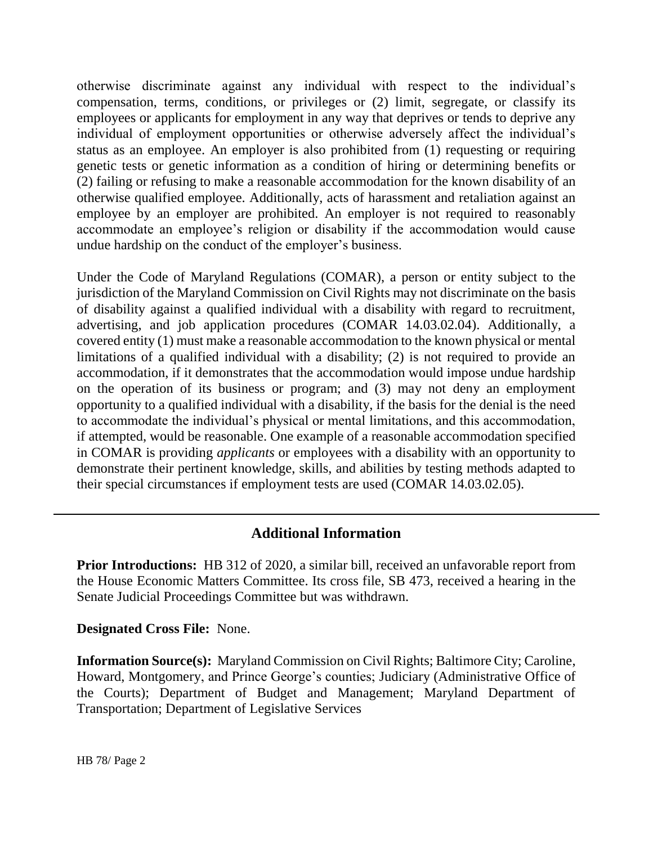otherwise discriminate against any individual with respect to the individual's compensation, terms, conditions, or privileges or (2) limit, segregate, or classify its employees or applicants for employment in any way that deprives or tends to deprive any individual of employment opportunities or otherwise adversely affect the individual's status as an employee. An employer is also prohibited from (1) requesting or requiring genetic tests or genetic information as a condition of hiring or determining benefits or (2) failing or refusing to make a reasonable accommodation for the known disability of an otherwise qualified employee. Additionally, acts of harassment and retaliation against an employee by an employer are prohibited. An employer is not required to reasonably accommodate an employee's religion or disability if the accommodation would cause undue hardship on the conduct of the employer's business.

Under the Code of Maryland Regulations (COMAR), a person or entity subject to the jurisdiction of the Maryland Commission on Civil Rights may not discriminate on the basis of disability against a qualified individual with a disability with regard to recruitment, advertising, and job application procedures (COMAR 14.03.02.04). Additionally, a covered entity (1) must make a reasonable accommodation to the known physical or mental limitations of a qualified individual with a disability; (2) is not required to provide an accommodation, if it demonstrates that the accommodation would impose undue hardship on the operation of its business or program; and (3) may not deny an employment opportunity to a qualified individual with a disability, if the basis for the denial is the need to accommodate the individual's physical or mental limitations, and this accommodation, if attempted, would be reasonable. One example of a reasonable accommodation specified in COMAR is providing *applicants* or employees with a disability with an opportunity to demonstrate their pertinent knowledge, skills, and abilities by testing methods adapted to their special circumstances if employment tests are used (COMAR 14.03.02.05).

## **Additional Information**

**Prior Introductions:** HB 312 of 2020, a similar bill, received an unfavorable report from the House Economic Matters Committee. Its cross file, SB 473, received a hearing in the Senate Judicial Proceedings Committee but was withdrawn.

#### **Designated Cross File:** None.

**Information Source(s):** Maryland Commission on Civil Rights; Baltimore City; Caroline, Howard, Montgomery, and Prince George's counties; Judiciary (Administrative Office of the Courts); Department of Budget and Management; Maryland Department of Transportation; Department of Legislative Services